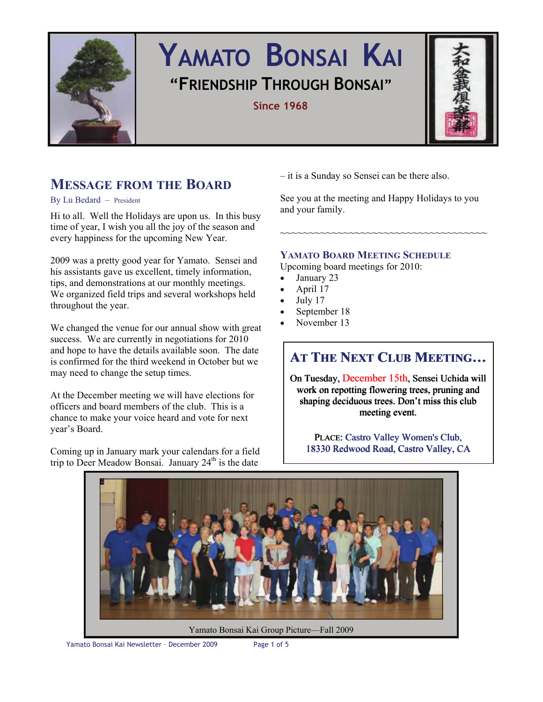

# **YAMATO BONSAI KAI "FRIENDSHIP THROUGH BONSAI"**

**Since 1968** 



### **MESSAGE FROM THE BOARD**

By Lu Bedard – President

Hi to all. Well the Holidays are upon us. In this busy time of year, I wish you all the joy of the season and every happiness for the upcoming New Year.

2009 was a pretty good year for Yamato. Sensei and his assistants gave us excellent, timely information, tips, and demonstrations at our monthly meetings. We organized field trips and several workshops held throughout the year.

We changed the venue for our annual show with great success. We are currently in negotiations for 2010 and hope to have the details available soon. The date is confirmed for the third weekend in October but we may need to change the setup times.

At the December meeting we will have elections for officers and board members of the club. This is a chance to make your voice heard and vote for next year's Board.

Coming up in January mark your calendars for a field trip to Deer Meadow Bonsai. January  $24<sup>th</sup>$  is the date

– it is a Sunday so Sensei can be there also.

See you at the meeting and Happy Holidays to you and your family.

~~~~~~~~~~~~~~~~~~~~~~~~~~~~~~~~~~~

#### **YAMATO BOARD MEETING SCHEDULE**

Upcoming board meetings for 2010:

- January 23
- April 17
- July 17
- September 18
- November 13

### **AT THE NEXT CLUB MEETING… AT THE NEXT CLUB MEETING…**

On Tuesday, December 15th, Sensei Uchida will On Tuesday, December 15th, Sensei Uchida will work on repotting flowering trees, pruning and shaping deciduous trees. Don't miss this club<br>meeting event.<br>PLACE: Castro Valley Women's Club, meeting event.

PLACE: Castro Valley Women's Club, 18330 Redwood Road, Castro Valley, CA

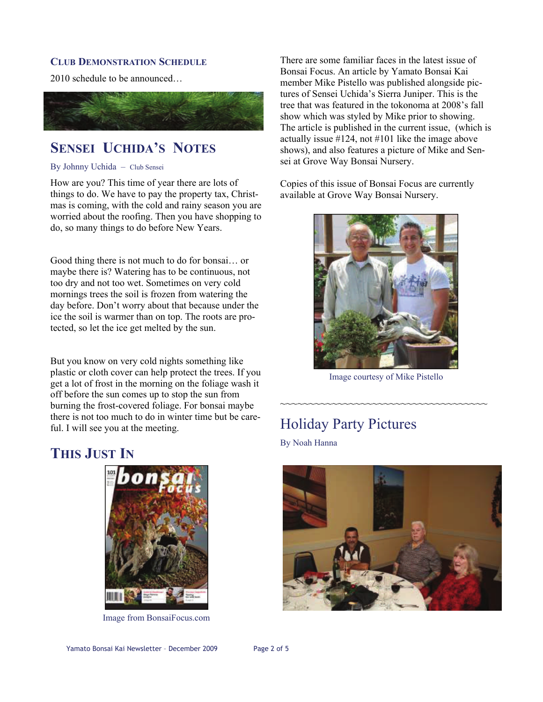#### **CLUB DEMONSTRATION SCHEDULE**

2010 schedule to be announced…



## **SENSEI UCHIDA'S NOTES**

By Johnny Uchida – Club Sensei

How are you? This time of year there are lots of things to do. We have to pay the property tax, Christmas is coming, with the cold and rainy season you are worried about the roofing. Then you have shopping to do, so many things to do before New Years.

Good thing there is not much to do for bonsai… or maybe there is? Watering has to be continuous, not too dry and not too wet. Sometimes on very cold mornings trees the soil is frozen from watering the day before. Don't worry about that because under the ice the soil is warmer than on top. The roots are protected, so let the ice get melted by the sun.

But you know on very cold nights something like plastic or cloth cover can help protect the trees. If you get a lot of frost in the morning on the foliage wash it off before the sun comes up to stop the sun from burning the frost-covered foliage. For bonsai maybe there is not too much to do in winter time but be careful. I will see you at the meeting.

There are some familiar faces in the latest issue of Bonsai Focus. An article by Yamato Bonsai Kai member Mike Pistello was published alongside pictures of Sensei Uchida's Sierra Juniper. This is the tree that was featured in the tokonoma at 2008's fall show which was styled by Mike prior to showing. The article is published in the current issue, (which is actually issue #124, not #101 like the image above shows), and also features a picture of Mike and Sensei at Grove Way Bonsai Nursery.

Copies of this issue of Bonsai Focus are currently available at Grove Way Bonsai Nursery.



Image courtesy of Mike Pistello

~~~~~~~~~~~~~~~~~~~~~~~~~~~~~~~~~~~~

#### Holiday Party Pictures

By Noah Hanna



### **THIS JUST IN**



Image from BonsaiFocus.com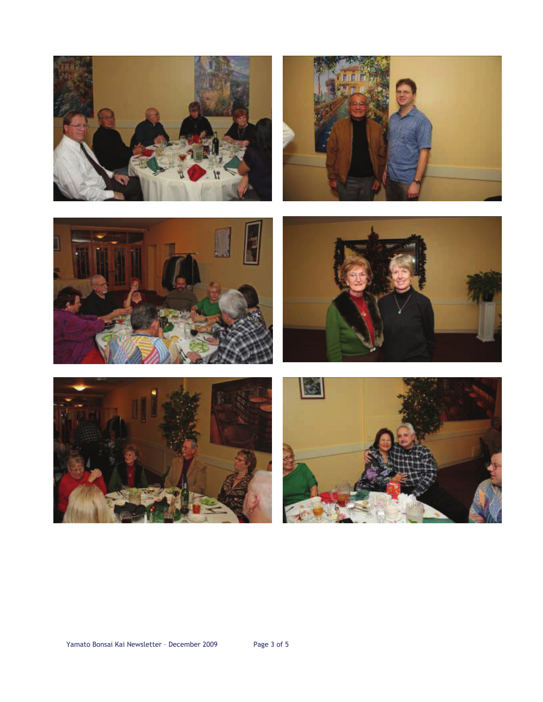



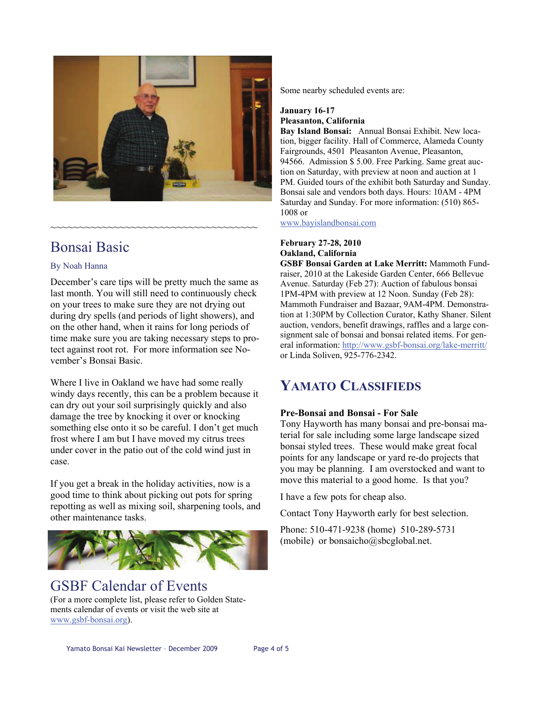

### Bonsai Basic

#### By Noah Hanna

December's care tips will be pretty much the same as last month. You will still need to continuously check on your trees to make sure they are not drying out during dry spells (and periods of light showers), and on the other hand, when it rains for long periods of time make sure you are taking necessary steps to protect against root rot. For more information see November's Bonsai Basic.

~~~~~~~~~~~~~~~~~~~~~~~~~~~~~~~~~~~~

Where I live in Oakland we have had some really windy days recently, this can be a problem because it can dry out your soil surprisingly quickly and also damage the tree by knocking it over or knocking something else onto it so be careful. I don't get much frost where I am but I have moved my citrus trees under cover in the patio out of the cold wind just in case.

If you get a break in the holiday activities, now is a good time to think about picking out pots for spring repotting as well as mixing soil, sharpening tools, and other maintenance tasks.



### GSBF Calendar of Events

(For a more complete list, please refer to Golden Statements calendar of events or visit the web site at [www.gsbf-bonsai.org](http://www.gsbf-bonsai.org)).

Some nearby scheduled events are:

#### **January 16-17 Pleasanton, California**

**Bay Island Bonsai:** Annual Bonsai Exhibit. New location, bigger facility. Hall of Commerce, Alameda County Fairgrounds, 4501 Pleasanton Avenue, Pleasanton, 94566. Admission \$ 5.00. Free Parking. Same great auction on Saturday, with preview at noon and auction at 1 PM. Guided tours of the exhibit both Saturday and Sunday. Bonsai sale and vendors both days. Hours: 10AM - 4PM Saturday and Sunday. For more information: (510) 865- 1008 or

[www.bayislandbonsai.com](http://www.bayislandbonsai.com)

#### **February 27-28, 2010 Oakland, California**

**GSBF Bonsai Garden at Lake Merritt:** Mammoth Fundraiser, 2010 at the Lakeside Garden Center, 666 Bellevue Avenue. Saturday (Feb 27): Auction of fabulous bonsai 1PM-4PM with preview at 12 Noon. Sunday (Feb 28): Mammoth Fundraiser and Bazaar, 9AM-4PM. Demonstration at 1:30PM by Collection Curator, Kathy Shaner. Silent auction, vendors, benefit drawings, raffles and a large consignment sale of bonsai and bonsai related items. For general information: <http://www.gsbf-bonsai.org/lake-merritt/> or Linda Soliven, 925-776-2342.

### **YAMATO CLASSIFIEDS**

#### **Pre-Bonsai and Bonsai - For Sale**

Tony Hayworth has many bonsai and pre-bonsai material for sale including some large landscape sized bonsai styled trees. These would make great focal points for any landscape or yard re-do projects that you may be planning. I am overstocked and want to move this material to a good home. Is that you?

I have a few pots for cheap also.

Contact Tony Hayworth early for best selection.

Phone: 510-471-9238 (home) 510-289-5731 (mobile) or bonsaicho@sbcglobal.net.